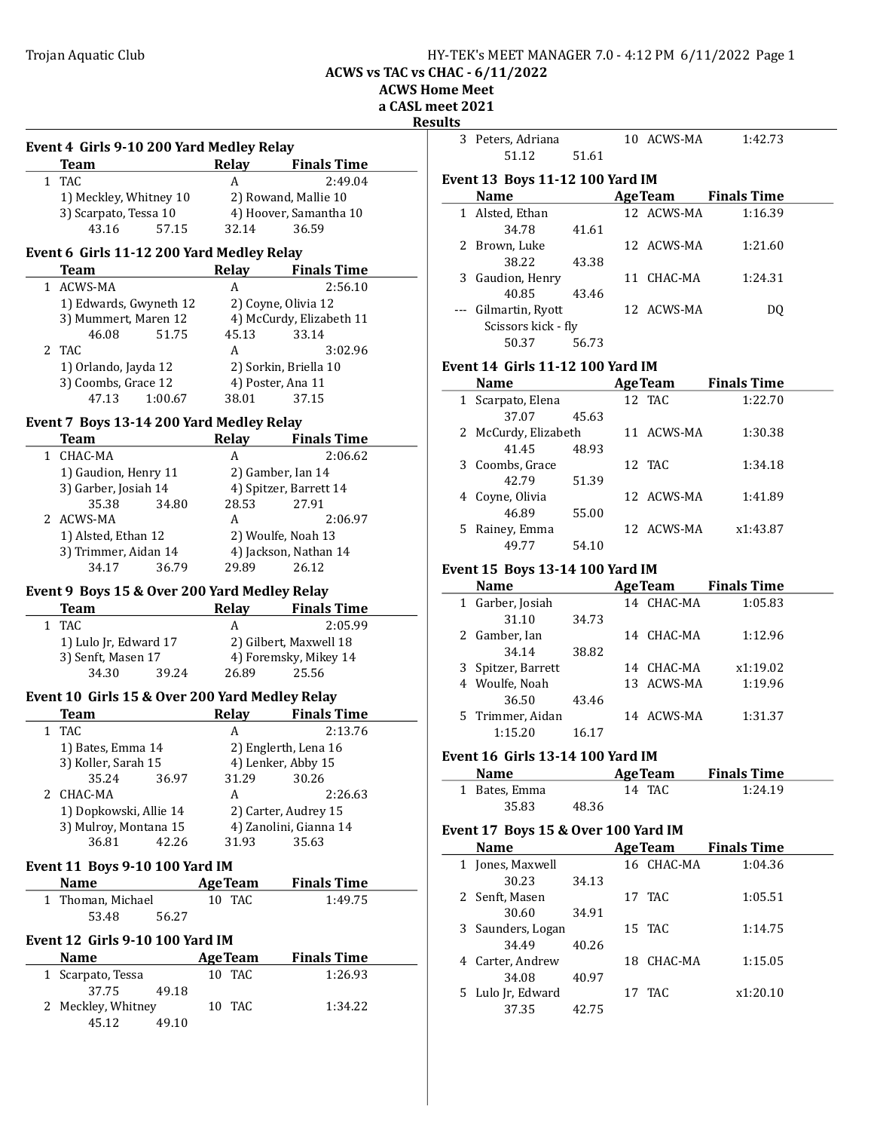ACWS vs TAC vs CHAC - 6/11/2022

ACWS Home Meet

a CASL meet 2021

|                                                |                |                                | <b>Results</b>   |
|------------------------------------------------|----------------|--------------------------------|------------------|
| Event 4 Girls 9-10 200 Yard Medley Relay       |                |                                | 3                |
| Team                                           | Relay          | <b>Finals Time</b>             |                  |
| 1 TAC                                          | A              | 2:49.04                        | Eve              |
| 1) Meckley, Whitney 10                         |                | 2) Rowand, Mallie 10           |                  |
| 3) Scarpato, Tessa 10                          |                | 4) Hoover, Samantha 10         | $\mathbf{1}$     |
| 57.15<br>43.16                                 | 32.14          | 36.59                          |                  |
|                                                |                |                                | $\overline{c}$   |
| Event 6 Girls 11-12 200 Yard Medley Relay      |                |                                |                  |
| <b>Team</b>                                    |                | Relay Finals Time              | 3                |
| 1 ACWS-MA                                      | A              | 2:56.10                        |                  |
| 1) Edwards, Gwyneth 12                         |                | 2) Coyne, Olivia 12            |                  |
| 3) Mummert, Maren 12                           |                | 4) McCurdy, Elizabeth 11       |                  |
| 46.08<br>51.75<br>2 TAC                        | 45.13<br>A     | 33.14<br>3:02.96               |                  |
| 1) Orlando, Jayda 12                           |                | 2) Sorkin, Briella 10          | Eve <sub>1</sub> |
| 3) Coombs, Grace 12                            |                | 4) Poster, Ana 11              |                  |
| 47.13<br>1:00.67                               | 38.01          | 37.15                          | $\mathbf{1}$     |
|                                                |                |                                |                  |
| Event 7 Boys 13-14 200 Yard Medley Relay       |                |                                | $\overline{c}$   |
| Team                                           | Relay          | <b>Finals Time</b>             |                  |
| 1 CHAC-MA                                      | A              | 2:06.62                        | 3                |
| 1) Gaudion, Henry 11                           |                | 2) Gamber, Ian 14              |                  |
| 3) Garber, Josiah 14                           |                | 4) Spitzer, Barrett 14         | 4                |
| 35.38<br>34.80                                 | 28.53          | 27.91                          |                  |
| 2 ACWS-MA                                      | A              | 2:06.97                        | 5                |
| 1) Alsted, Ethan 12                            |                | 2) Woulfe, Noah 13             |                  |
| 3) Trimmer, Aidan 14<br>34.17<br>36.79         | 29.89          | 4) Jackson, Nathan 14<br>26.12 |                  |
|                                                |                |                                | Eve              |
| Event 9 Boys 15 & Over 200 Yard Medley Relay   |                |                                |                  |
| <b>Team</b>                                    | Relay          | <b>Finals Time</b>             | $\mathbf{1}$     |
| 1 TAC                                          | A              | 2:05.99                        | $\overline{2}$   |
| 1) Lulo Jr, Edward 17                          |                | 2) Gilbert, Maxwell 18         |                  |
| 3) Senft, Masen 17                             |                | 4) Foremsky, Mikey 14          | 3                |
| 34.30<br>39.24                                 | 26.89          | 25.56                          | 4                |
| Event 10 Girls 15 & Over 200 Yard Medley Relay |                |                                |                  |
| <b>Team</b>                                    | Relay          | <b>Finals Time</b>             | 5                |
| 1 TAC                                          | А              | 2:13.76                        |                  |
| 1) Bates, Emma 14                              |                | 2) Englerth, Lena 16           |                  |
| 3) Koller, Sarah 15                            |                | 4) Lenker, Abby 15             | Ever             |
| 35.24<br>36.97                                 | 31.29          | 30.26                          |                  |
| 2 CHAC-MA                                      | A              | 2:26.63                        | 1                |
| 1) Dopkowski, Allie 14                         |                | 2) Carter, Audrey 15           |                  |
| 3) Mulroy, Montana 15                          |                | 4) Zanolini, Gianna 14         | Evel             |
| 36.81<br>42.26                                 | 31.93          | 35.63                          |                  |
| Event 11 Boys 9-10 100 Yard IM                 |                |                                | $\mathbf{1}$     |
| <b>Name</b>                                    | <b>AgeTeam</b> | <b>Finals Time</b>             |                  |
| 1 Thoman, Michael                              | 10 TAC         | 1:49.75                        | $\overline{c}$   |
| 53.48<br>56.27                                 |                |                                |                  |
|                                                |                |                                | 3                |
| Event 12 Girls 9-10 100 Yard IM                |                |                                |                  |
| <b>Name</b>                                    | <b>AgeTeam</b> | <b>Finals Time</b>             | 4                |
| 1 Scarpato, Tessa                              | 10 TAC         | 1:26.93                        |                  |
| 37.75<br>49.18                                 |                |                                | 5                |
| 2 Meckley, Whitney                             | 10 TAC         | 1:34.22                        |                  |
| 45.12<br>49.10                                 |                |                                |                  |

| ື |                   |       |            |         |
|---|-------------------|-------|------------|---------|
|   | 3 Peters, Adriana |       | 10 ACWS-MA | 1:42.73 |
|   | 51.12             | 51.61 |            |         |

### nt 13 Boys 11-12 100 Yard IM

| <b>Name</b>      |                                                    |                     | <b>Finals Time</b>                                                     |  |
|------------------|----------------------------------------------------|---------------------|------------------------------------------------------------------------|--|
|                  |                                                    |                     | 1:16.39                                                                |  |
| 34.78            | 41.61                                              |                     |                                                                        |  |
|                  |                                                    |                     | 1:21.60                                                                |  |
| 38.22            | 43.38                                              |                     |                                                                        |  |
|                  |                                                    |                     | 1:24.31                                                                |  |
| 40.85            | 43.46                                              |                     |                                                                        |  |
| Gilmartin, Ryott |                                                    |                     | DO                                                                     |  |
|                  |                                                    |                     |                                                                        |  |
| 50.37            | 56.73                                              |                     |                                                                        |  |
|                  | 1 Alsted, Ethan<br>2 Brown, Luke<br>Gaudion, Henry | Scissors kick - fly | <b>AgeTeam</b><br>12 ACWS-MA<br>12 ACWS-MA<br>11 CHAC-MA<br>12 ACWS-MA |  |

#### nt 14 Girls 11-12 100 Yard IM

|    | <b>Name</b>          |       | <b>AgeTeam</b> | <b>Finals Time</b> |  |
|----|----------------------|-------|----------------|--------------------|--|
|    | 1 Scarpato, Elena    |       | 12 TAC         | 1:22.70            |  |
|    | 37.07                | 45.63 |                |                    |  |
|    | 2 McCurdy, Elizabeth |       | 11 ACWS-MA     | 1:30.38            |  |
|    | 41.45                | 48.93 |                |                    |  |
|    | 3 Coombs, Grace      |       | 12 TAC         | 1:34.18            |  |
|    | 42.79                | 51.39 |                |                    |  |
|    | Coyne, Olivia        |       | 12 ACWS-MA     | 1:41.89            |  |
|    | 46.89                | 55.00 |                |                    |  |
| 5. | Rainey, Emma         |       | 12 ACWS-MA     | x1:43.87           |  |
|    | 49.77                | 54.10 |                |                    |  |

#### nt 15 Boys 13-14 100 Yard IM

| <b>Name</b>        |       | <b>AgeTeam</b> | <b>Finals Time</b> |  |
|--------------------|-------|----------------|--------------------|--|
| 1 Garber, Josiah   |       | 14 CHAC-MA     | 1:05.83            |  |
| 31.10              | 34.73 |                |                    |  |
| 2 Gamber, Ian      |       | 14 CHAC-MA     | 1:12.96            |  |
| 34.14              | 38.82 |                |                    |  |
| 3 Spitzer, Barrett |       | 14 CHAC-MA     | x1:19.02           |  |
| 4 Woulfe, Noah     |       | 13 ACWS-MA     | 1:19.96            |  |
| 36.50              | 43.46 |                |                    |  |
| 5 Trimmer, Aidan   |       | 14 ACWS-MA     | 1:31.37            |  |
| 1:15.20            | 16.17 |                |                    |  |

# nt 16 Girls 13-14 100 Yard IM

| <b>Name</b>   |       | <b>AgeTeam</b> | <b>Finals Time</b> |  |
|---------------|-------|----------------|--------------------|--|
| 1 Bates, Emma |       | 14 TAC         | 1:24.19            |  |
| 35.83         | 48.36 |                |                    |  |

#### nt 17 Boys 15 & Over 100 Yard IM

|   | Name              |       | <b>AgeTeam</b> | <b>Finals Time</b> |  |
|---|-------------------|-------|----------------|--------------------|--|
|   | 1 Jones, Maxwell  |       | 16 CHAC-MA     | 1:04.36            |  |
|   | 30.23             | 34.13 |                |                    |  |
|   | 2 Senft, Masen    |       | 17 TAC         | 1:05.51            |  |
|   | 30.60             | 34.91 |                |                    |  |
|   | 3 Saunders, Logan |       | 15 TAC         | 1:14.75            |  |
|   | 34.49             | 40.26 |                |                    |  |
| 4 | Carter, Andrew    |       | 18 CHAC-MA     | 1:15.05            |  |
|   | 34.08             | 40.97 |                |                    |  |
|   | 5 Lulo Jr, Edward |       | 17 TAC         | x1:20.10           |  |
|   | 37.35             | 42.75 |                |                    |  |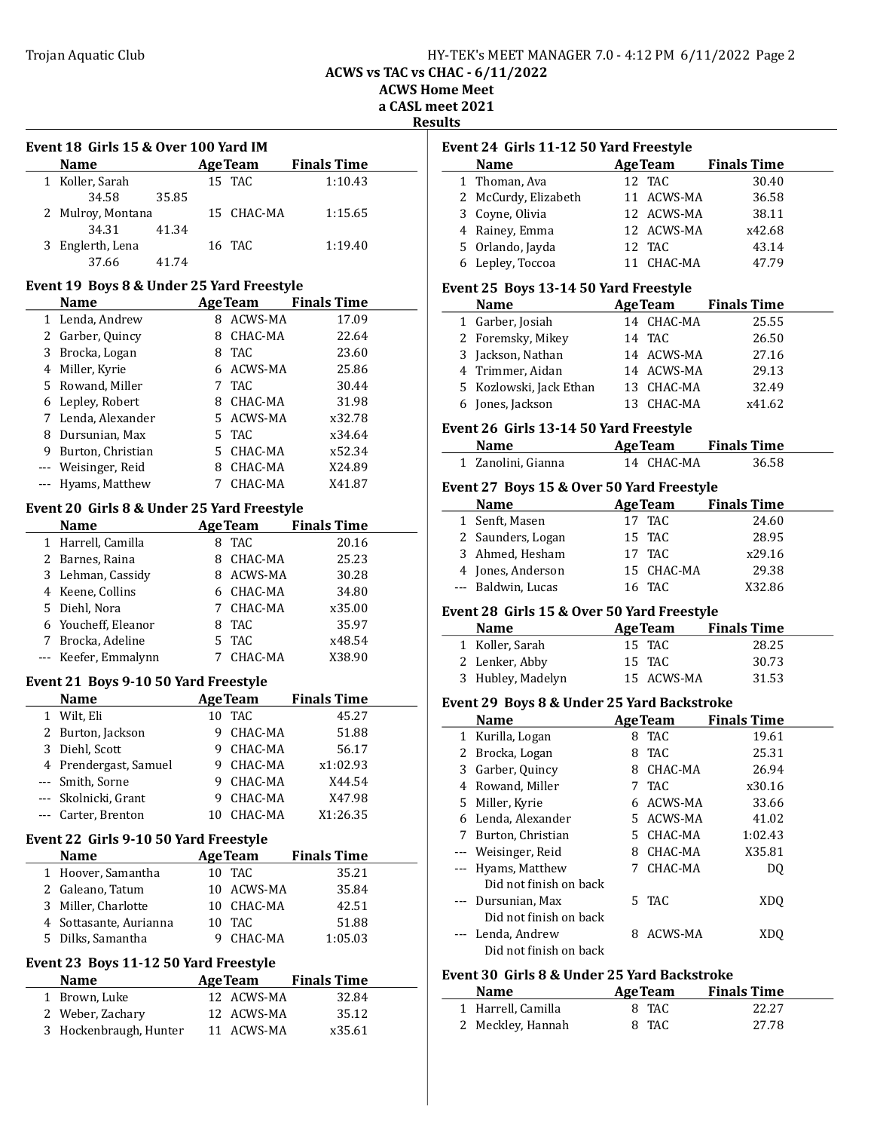Event 18 Girls 15 & Over 100 Yard IM

Name Age Team Finals Time 1 Koller, Sarah 15 TAC 1:10.43

# Trojan Aquatic Club **HY-TEK's MEET MANAGER 7.0 - 4:12 PM 6/11/2022** Page 2

ACWS vs TAC vs CHAC - 6/11/2022

ACWS Home Meet a CASL meet 2021

 $\frac{1}{2}$ 

**Results** 

| 34.58<br>35.85                                |    |                        |                            | 2 N                              |
|-----------------------------------------------|----|------------------------|----------------------------|----------------------------------|
| 2 Mulroy, Montana                             |    | 15 CHAC-MA             | 1:15.65                    | 3<br>$\mathcal{L}$               |
| 34.31<br>41.34                                |    |                        |                            | $\overline{F}$<br>$\overline{4}$ |
| 3 Englerth, Lena                              |    | 16 TAC                 | 1:19.40                    | 5<br>- 0                         |
| 37.66<br>41.74                                |    |                        |                            | 6 I                              |
|                                               |    |                        |                            |                                  |
| Event 19 Boys 8 & Under 25 Yard Freestyle     |    |                        |                            | Event                            |
| Name                                          |    |                        | <b>AgeTeam</b> Finals Time | ľ                                |
| 1 Lenda, Andrew                               |    | 8 ACWS-MA<br>8 CHAC-MA | 17.09<br>22.64             | $\mathbf{1}$<br>$\epsilon$       |
| 2 Garber, Quincy                              |    | 8 TAC                  |                            | 2 F                              |
| 3 Brocka, Logan<br>4 Miller, Kyrie            |    | 6 ACWS-MA              | 23.60<br>25.86             | 3<br>$\mathbf{J}$                |
| 5 Rowand, Miller                              |    | 7 TAC                  | 30.44                      | 4<br>$\mathbf{I}$                |
| 6 Lepley, Robert                              |    | 8 CHAC-MA              | 31.98                      | 5 <sub>h</sub>                   |
| 7 Lenda, Alexander                            |    | 5 ACWS-MA              | x32.78                     | 6 J                              |
| 8 Dursunian, Max                              |    | 5 TAC                  | x34.64                     | Event                            |
| 9 Burton, Christian                           |    | 5 CHAC-MA              | x52.34                     | ľ                                |
| --- Weisinger, Reid                           |    | 8 CHAC-MA              | X24.89                     | 17                               |
| --- Hyams, Matthew                            |    | 7 CHAC-MA              | X41.87                     |                                  |
|                                               |    |                        |                            | Event                            |
| Event 20 Girls 8 & Under 25 Yard Freestyle    |    |                        |                            | ľ                                |
| <b>Name</b>                                   |    |                        | AgeTeam Finals Time        | 1 <sup>5</sup><br>2S             |
| 1 Harrell, Camilla                            |    | 8 TAC                  | 20.16                      |                                  |
| 2 Barnes, Raina                               |    | 8 CHAC-MA              | 25.23                      | 3f                               |
| 3 Lehman, Cassidy                             |    | 8 ACWS-MA              | 30.28                      | 4 <sub>1</sub>                   |
| 4 Keene, Collins                              |    | 6 CHAC-MA              | 34.80                      | --- E                            |
| 5 Diehl, Nora                                 |    | 7 CHAC-MA              | x35.00                     | Event                            |
| 6 Youcheff, Eleanor                           |    | 8 TAC                  | 35.97                      | ľ                                |
| 7 Brocka, Adeline                             |    | 5 TAC                  | x48.54                     | 1 F                              |
| --- Keefer, Emmalynn                          |    | 7 CHAC-MA              | X38.90                     | 2 <sub>1</sub>                   |
| Event 21 Boys 9-10 50 Yard Freestyle          |    |                        |                            | 3 <sub>1</sub>                   |
| Name                                          |    | <b>AgeTeam</b>         | <b>Finals Time</b>         | Event                            |
| 1 Wilt, Eli                                   |    | 10 TAC                 | 45.27                      |                                  |
| 2 Burton, Jackson                             |    | 9 CHAC-MA              | 51.88                      | ľ<br>1 <sup>h</sup>              |
| 3 Diehl, Scott                                |    | 9 CHAC-MA              | 56.17                      | 2 E                              |
| 4 Prendergast, Samuel                         |    | 9 CHAC-MA              | x1:02.93                   | 3 <sup>1</sup>                   |
| --- Smith, Sorne                              |    | 9 CHAC-MA              | X44.54                     | 4 F                              |
| --- Skolnicki, Grant                          |    | 9 CHAC-MA              | X47.98                     | 5 <sub>1</sub>                   |
| --- Carter, Brenton                           |    | 10 CHAC-MA             | X1:26.35                   | 6 L                              |
|                                               |    |                        |                            | 7 E                              |
| Event 22 Girls 9-10 50 Yard Freestyle         |    |                        |                            | $\mathbf{V}$                     |
| <b>Name</b>                                   |    | <b>AgeTeam</b>         | <b>Finals Time</b>         | - F                              |
| 1 Hoover, Samantha                            |    | 10 TAC                 | 35.21                      |                                  |
| 2 Galeano, Tatum                              |    | 10 ACWS-MA             | 35.84                      | - L                              |
| 3 Miller, Charlotte<br>4 Sottasante, Aurianna |    | 10 CHAC-MA<br>10 TAC   | 42.51                      |                                  |
|                                               |    |                        | 51.88                      | --- I                            |
| 5 Dilks, Samantha                             | 9. | CHAC-MA                | 1:05.03                    |                                  |
| Event 23 Boys 11-12 50 Yard Freestyle         |    |                        |                            |                                  |
| Name                                          |    | <b>AgeTeam</b>         | <b>Finals Time</b>         | Event                            |
| 1 Brown, Luke                                 |    | 12 ACWS-MA             | 32.84                      | ľ                                |
| 2 Weber, Zachary                              |    | 12 ACWS-MA             | 35.12                      | 1 H                              |
| 3 Hockenbraugh, Hunter                        |    | 11 ACWS-MA             | x35.61                     | 2 N                              |
|                                               |    |                        |                            |                                  |

| Event 24 Girls 11-12 50 Yard Freestyle<br><b>Name</b> | <b>AgeTeam</b> | <b>Finals Time</b> |
|-------------------------------------------------------|----------------|--------------------|
| 1 Thoman, Ava                                         | 12 TAC         | 30.40              |
| 2 McCurdy, Elizabeth                                  | 11 ACWS-MA     | 36.58              |
| 3 Coyne, Olivia                                       | 12 ACWS-MA     | 38.11              |
| 4 Rainey, Emma                                        | 12 ACWS-MA     | x42.68             |
| 5 Orlando, Jayda                                      | 12 TAC         | 43.14              |
| 6 Lepley, Toccoa                                      | 11 CHAC-MA     | 47.79              |
|                                                       |                |                    |

#### 25 Boys 13-14 50 Yard Freestyle

| <b>Name</b>             | <b>AgeTeam</b> | <b>Finals Time</b> |
|-------------------------|----------------|--------------------|
| 1 Garber, Josiah        | 14 CHAC-MA     | 25.55              |
| 2 Foremsky, Mikey       | 14 TAC         | 26.50              |
| 3 Jackson, Nathan       | 14 ACWS-MA     | 27.16              |
| 4 Trimmer, Aidan        | 14 ACWS-MA     | 29.13              |
| 5 Kozlowski, Jack Ethan | 13 CHAC-MA     | 32.49              |
| 6 Jones, Jackson        | 13 CHAC-MA     | x41.62             |

#### 26 Girls 13-14 50 Yard Freestyle

| <b>Name</b>        | <b>AgeTeam</b> | <b>Finals Time</b> |
|--------------------|----------------|--------------------|
| 1 Zanolini, Gianna | 14 CHAC-MA     | 36.58              |

#### 27 Boys 15 & Over 50 Yard Freestyle

|                                             | <b>Name</b>        |  | <b>AgeTeam</b> | <b>Finals Time</b> |  |  |  |
|---------------------------------------------|--------------------|--|----------------|--------------------|--|--|--|
|                                             | 1 Senft, Masen     |  | 17 TAC         | 24.60              |  |  |  |
|                                             | 2 Saunders, Logan  |  | 15 TAC         | 28.95              |  |  |  |
|                                             | 3 Ahmed, Hesham    |  | 17 TAC         | x29.16             |  |  |  |
|                                             | 4 Jones, Anderson  |  | 15 CHAC-MA     | 29.38              |  |  |  |
|                                             | --- Baldwin, Lucas |  | 16 TAC         | X32.86             |  |  |  |
| vant 28. Cirls 15.8. Ovar 50 Vard Fraastyla |                    |  |                |                    |  |  |  |

#### 28 Girls 15 & Over 50 Yard Freestyle

| <b>Name</b>       | <b>AgeTeam</b> | <b>Finals Time</b> |
|-------------------|----------------|--------------------|
| 1 Koller, Sarah   | 15 TAC         | 28.25              |
| 2 Lenker, Abby    | 15 TAC         | 30.73              |
| 3 Hubley, Madelyn | 15 ACWS-MA     | 31.53              |

#### 29 Boys 8 & Under 25 Yard Backstroke

|   | <b>Name</b>            |   | <b>AgeTeam</b> | <b>Finals Time</b> |  |
|---|------------------------|---|----------------|--------------------|--|
|   | 1 Kurilla, Logan       | 8 | TAC.           | 19.61              |  |
| 2 | Brocka, Logan          | 8 | TAC.           | 25.31              |  |
| 3 | Garber, Quincy         | 8 | CHAC-MA        | 26.94              |  |
| 4 | Rowand, Miller         |   | 7 TAC          | x30.16             |  |
|   | 5 Miller, Kyrie        | 6 | ACWS-MA        | 33.66              |  |
| 6 | Lenda, Alexander       |   | 5 ACWS-MA      | 41.02              |  |
| 7 | Burton, Christian      |   | 5 CHAC-MA      | 1:02.43            |  |
|   | --- Weisinger, Reid    | 8 | CHAC-MA        | X35.81             |  |
|   | --- Hyams, Matthew     |   | 7 CHAC-MA      | DO                 |  |
|   | Did not finish on back |   |                |                    |  |
|   | --- Dursunian, Max     |   | 5 TAC          | XD <sub>0</sub>    |  |
|   | Did not finish on back |   |                |                    |  |
|   | Lenda, Andrew          | 8 | ACWS-MA        | XDO                |  |
|   | Did not finish on back |   |                |                    |  |

#### 30 Girls 8 & Under 25 Yard Backstroke

| <b>Name</b>        | <b>AgeTeam</b> | <b>Finals Time</b> |  |
|--------------------|----------------|--------------------|--|
| 1 Harrell, Camilla | 8 TAC          | 22.27              |  |
| 2 Meckley, Hannah  | 8 TAC          | 27.78              |  |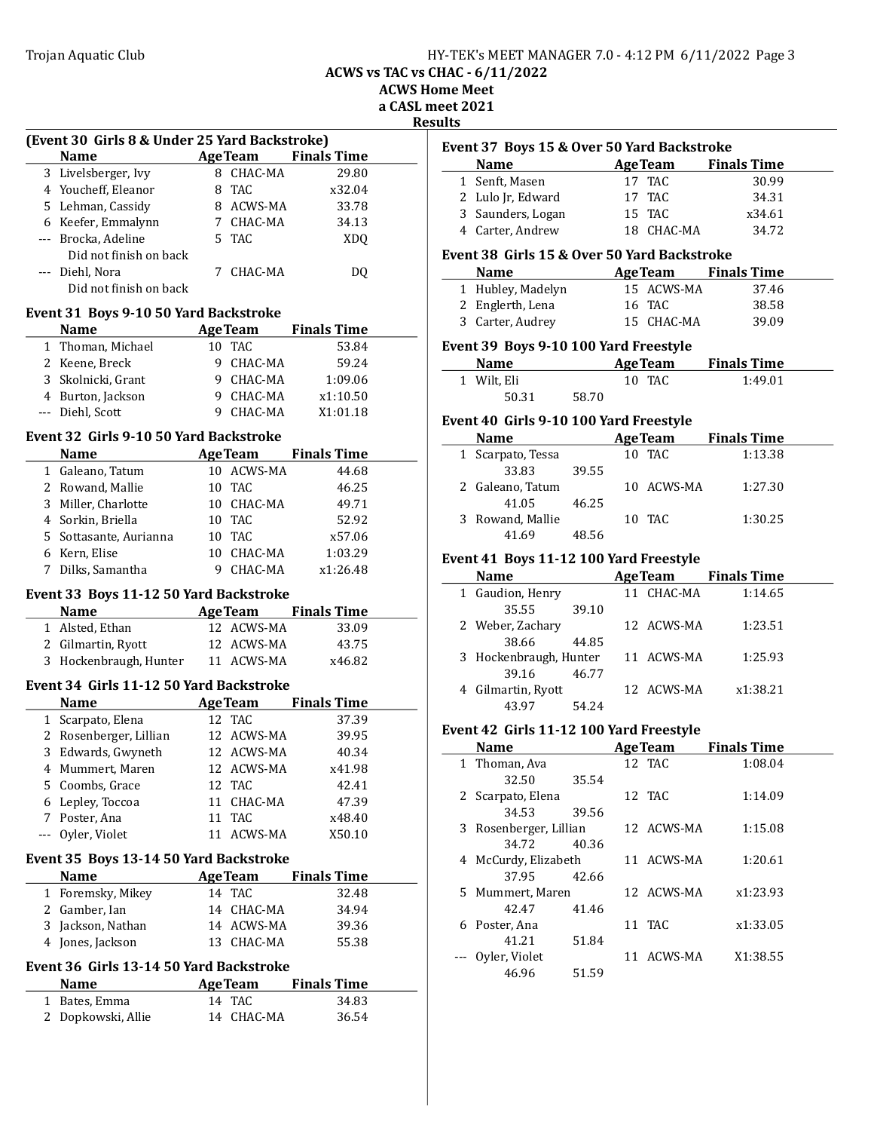ACWS vs TAC vs CHAC - 6/11/2022

ACWS Home Meet

a CASL meet 2021

| ı<br>н<br>۰. |
|--------------|
|              |

|     |                                                      |    |                |                            | ĸes |
|-----|------------------------------------------------------|----|----------------|----------------------------|-----|
|     | (Event 30 Girls 8 & Under 25 Yard Backstroke)        |    |                |                            |     |
|     | <b>Name</b>                                          |    | <b>AgeTeam</b> | <b>Finals Time</b>         |     |
|     | 3 Livelsberger, Ivy                                  |    | 8 CHAC-MA      | 29.80                      |     |
|     | 4 Youcheff, Eleanor                                  |    | 8 TAC          | x32.04                     |     |
|     | 5 Lehman, Cassidy                                    |    | 8 ACWS-MA      | 33.78                      |     |
|     | 6 Keefer, Emmalynn                                   |    | 7 CHAC-MA      | 34.13                      |     |
|     | --- Brocka, Adeline                                  |    | 5 TAC          | XDQ                        |     |
|     | Did not finish on back                               |    |                |                            |     |
|     | --- Diehl, Nora                                      |    | 7 CHAC-MA      | DQ                         |     |
|     | Did not finish on back                               |    |                |                            |     |
|     |                                                      |    |                |                            |     |
|     | Event 31 Boys 9-10 50 Yard Backstroke<br><b>Name</b> |    |                | <b>AgeTeam</b> Finals Time |     |
|     | 1 Thoman, Michael                                    |    | 10 TAC         | 53.84                      |     |
|     | 2 Keene, Breck                                       |    | 9 CHAC-MA      | 59.24                      |     |
|     | 3 Skolnicki, Grant                                   |    | 9 CHAC-MA      | 1:09.06                    |     |
|     | 4 Burton, Jackson                                    |    | 9 CHAC-MA      | x1:10.50                   |     |
|     | --- Diehl, Scott                                     |    | 9 CHAC-MA      | X1:01.18                   |     |
|     |                                                      |    |                |                            |     |
|     | Event 32 Girls 9-10 50 Yard Backstroke               |    |                |                            |     |
|     | <b>Name</b>                                          |    |                | AgeTeam Finals Time        |     |
|     | 1 Galeano, Tatum                                     |    | 10 ACWS-MA     | 44.68                      |     |
|     | 2 Rowand, Mallie                                     |    | 10 TAC         | 46.25                      |     |
|     | 3 Miller, Charlotte                                  |    | 10 CHAC-MA     | 49.71                      |     |
|     | 4 Sorkin, Briella                                    |    | 10 TAC         | 52.92                      |     |
|     | 5 Sottasante, Aurianna                               |    | 10 TAC         | x57.06                     |     |
|     | 6 Kern, Elise                                        |    | 10 CHAC-MA     | 1:03.29                    |     |
| 7   | Dilks, Samantha                                      |    | 9 CHAC-MA      | x1:26.48                   |     |
|     | Event 33 Boys 11-12 50 Yard Backstroke               |    |                |                            |     |
|     | <b>Name</b><br><b>Example 2</b> Age Team             |    |                | Finals Time                |     |
|     | 1 Alsted, Ethan                                      |    | 12 ACWS-MA     | 33.09                      |     |
|     | 2 Gilmartin, Ryott                                   |    | 12 ACWS-MA     | 43.75                      |     |
|     | 3 Hockenbraugh, Hunter 11 ACWS-MA                    |    |                | x46.82                     |     |
|     |                                                      |    |                |                            |     |
|     | Event 34 Girls 11-12 50 Yard Backstroke              |    |                |                            |     |
|     | <b>Name</b>                                          |    |                | <b>AgeTeam</b> Finals Time |     |
|     | 1 Scarpato, Elena                                    |    | 12 TAC         | 37.39                      |     |
|     | 2 Rosenberger, Lillian                               |    | 12 ACWS-MA     | 39.95                      |     |
|     | 3 Edwards, Gwyneth                                   |    | 12 ACWS-MA     | 40.34                      |     |
| 4   | Mummert, Maren                                       |    | 12 ACWS-MA     | x41.98                     |     |
| 5   | Coombs, Grace                                        | 12 | <b>TAC</b>     | 42.41                      |     |
| 6   | Lepley, Toccoa                                       | 11 | CHAC-MA        | 47.39                      |     |
|     | 7 Poster, Ana                                        | 11 | <b>TAC</b>     | x48.40                     |     |
| --- | Oyler, Violet                                        | 11 | ACWS-MA        | X50.10                     |     |
|     | Event 35 Boys 13-14 50 Yard Backstroke               |    |                |                            |     |
|     | <b>Name</b>                                          |    | <b>AgeTeam</b> | <b>Finals Time</b>         |     |
|     | 1 Foremsky, Mikey                                    |    | 14 TAC         | 32.48                      |     |
|     | 2 Gamber, Ian                                        | 14 | CHAC-MA        | 34.94                      |     |
| 3   | Jackson, Nathan                                      |    | 14 ACWS-MA     | 39.36                      |     |
|     | 4 Jones, Jackson                                     |    | 13 CHAC-MA     | 55.38                      |     |
|     |                                                      |    |                |                            |     |
|     | Event 36 Girls 13-14 50 Yard Backstroke              |    |                |                            |     |
|     | <b>Name</b>                                          |    | <b>AgeTeam</b> | <b>Finals Time</b>         |     |
|     | 1 Bates, Emma                                        |    | 14 TAC         | 34.83                      |     |
|     | 2 Dopkowski, Allie                                   | 14 | CHAC-MA        | 36.54                      |     |
|     |                                                      |    |                |                            |     |

| ults |                                             |       |    |            |                                       |
|------|---------------------------------------------|-------|----|------------|---------------------------------------|
|      | Event 37 Boys 15 & Over 50 Yard Backstroke  |       |    |            |                                       |
|      | Name AgeTeam Finals Time                    |       |    |            |                                       |
|      | 1 Senft, Masen                              |       |    | 17 TAC     | 30.99                                 |
|      | 2 Lulo Jr, Edward                           |       |    | 17 TAC     | 34.31                                 |
|      | 3 Saunders, Logan                           |       |    | 15 TAC     | x34.61                                |
|      | 4 Carter, Andrew 18 CHAC-MA                 |       |    |            | 34.72                                 |
|      | Event 38 Girls 15 & Over 50 Yard Backstroke |       |    |            |                                       |
|      | <b>Name</b>                                 |       |    |            | <b>Example 2 Age Team</b> Finals Time |
|      | 1 Hubley, Madelyn                           |       |    | 15 ACWS-MA | 37.46                                 |
|      | 2 Englerth, Lena                            |       |    | 16 TAC     | 38.58                                 |
|      | 3 Carter, Audrey                            |       |    | 15 CHAC-MA | 39.09                                 |
|      | Event 39 Boys 9-10 100 Yard Freestyle       |       |    |            |                                       |
|      | Name AgeTeam Finals Time                    |       |    |            |                                       |
|      | 1 Wilt, Eli                                 |       |    | 10 TAC     | 1:49.01                               |
|      | 50.31 58.70                                 |       |    |            |                                       |
|      | Event 40 Girls 9-10 100 Yard Freestyle      |       |    |            |                                       |
|      | Name AgeTeam Finals Time                    |       |    |            |                                       |
|      | 1 Scarpato, Tessa                           |       |    | 10 TAC     | 1:13.38                               |
|      | 33.83                                       | 39.55 |    |            |                                       |
|      | 2 Galeano, Tatum                            |       |    | 10 ACWS-MA | 1:27.30                               |
|      | 41.05 46.25                                 |       |    |            |                                       |
|      | 3 Rowand, Mallie                            |       |    | 10 TAC     | 1:30.25                               |
|      | 41.69 48.56                                 |       |    |            |                                       |
|      | Event 41 Boys 11-12 100 Yard Freestyle      |       |    |            |                                       |
|      | Name AgeTeam Finals Time                    |       |    |            |                                       |
|      | 1 Gaudion, Henry                            |       |    | 11 CHAC-MA | 1:14.65                               |
|      | 35.55 39.10                                 |       |    |            |                                       |
|      | 2 Weber, Zachary                            |       |    | 12 ACWS-MA | 1:23.51                               |
|      | 38.66                                       | 44.85 |    |            |                                       |
|      | 3 Hockenbraugh, Hunter 11 ACWS-MA           |       |    |            | 1:25.93                               |
|      | 39.16 46.77                                 |       |    |            |                                       |
|      | 4 Gilmartin, Ryott                          |       |    |            | 12 ACWS-MA x1:38.21                   |
|      | 43.97 54.24                                 |       |    |            |                                       |
|      | Event 42 Girls 11-12 100 Yard Freestyle     |       |    |            |                                       |
|      | Name                                        |       |    |            | AgeTeam Finals Time                   |
|      | 1 Thoman, Ava                               |       |    | 12 TAC     | 1:08.04                               |
|      | 32.50                                       | 35.54 |    |            |                                       |
|      | 2 Scarpato, Elena                           |       | 12 | <b>TAC</b> | 1:14.09                               |
|      | 34.53                                       | 39.56 |    |            |                                       |
|      | 3 Rosenberger, Lillian                      |       |    | 12 ACWS-MA | 1:15.08                               |
|      | 34.72                                       | 40.36 |    |            |                                       |
|      | 4 McCurdy, Elizabeth                        |       |    | 11 ACWS-MA | 1:20.61                               |
|      | 37.95                                       | 42.66 |    |            |                                       |
|      | 5 Mummert, Maren                            |       |    | 12 ACWS-MA | x1:23.93                              |

|   | <b>Name</b>          |       | <b>AgeTeam</b> | <b>Finals Time</b> |  |
|---|----------------------|-------|----------------|--------------------|--|
|   | 1 Thoman, Ava        |       | 12 TAC         | 1:08.04            |  |
|   | 32.50                | 35.54 |                |                    |  |
|   | 2 Scarpato, Elena    |       | 12 TAC         | 1:14.09            |  |
|   | 34.53                | 39.56 |                |                    |  |
| 3 | Rosenberger, Lillian |       | 12 ACWS-MA     | 1:15.08            |  |
|   | 34.72                | 40.36 |                |                    |  |
|   | 4 McCurdy, Elizabeth |       | 11 ACWS-MA     | 1:20.61            |  |
|   | 37.95                | 42.66 |                |                    |  |
|   | 5 Mummert, Maren     |       | 12 ACWS-MA     | x1:23.93           |  |
|   | 42.47                | 41.46 |                |                    |  |
| 6 | Poster, Ana          |       | 11 TAC         | x1:33.05           |  |
|   | 41.21                | 51.84 |                |                    |  |
|   | Oyler, Violet        |       | 11 ACWS-MA     | X1:38.55           |  |
|   | 46.96                | 51.59 |                |                    |  |
|   |                      |       |                |                    |  |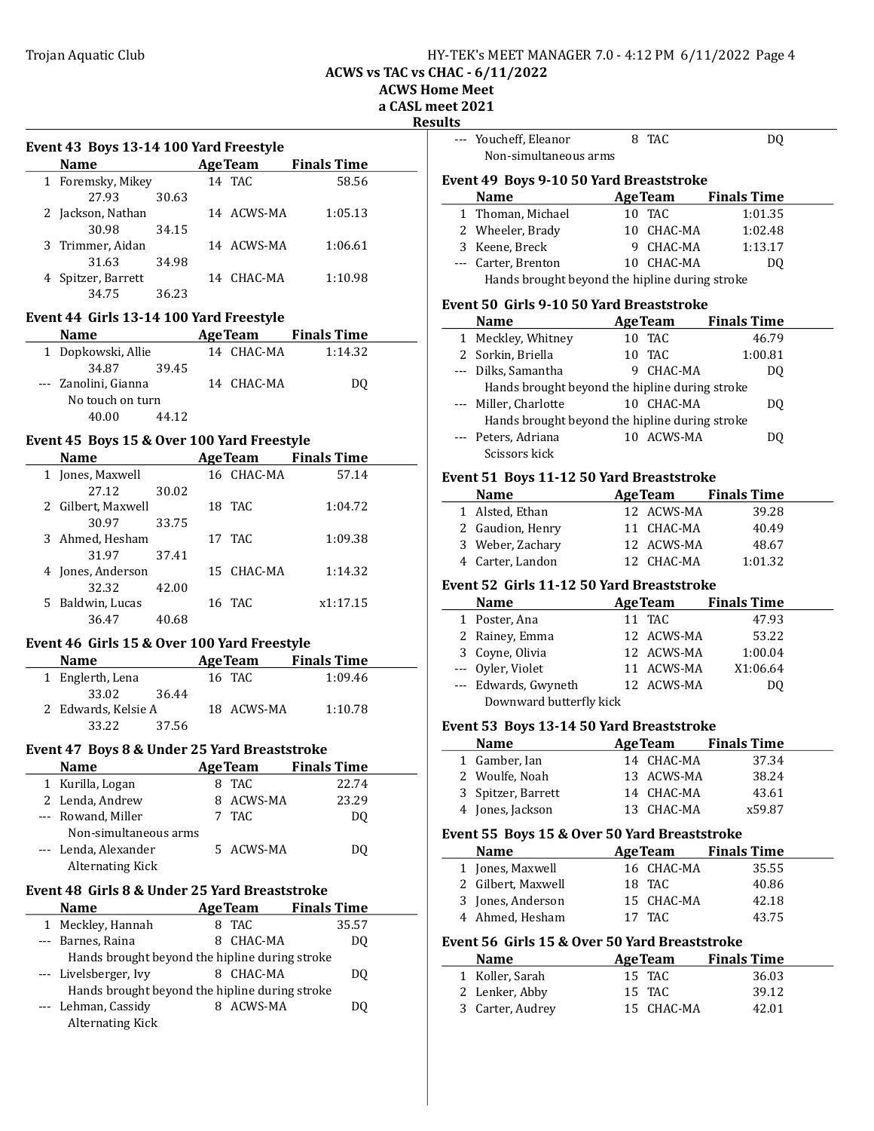ACWS vs TAC vs CHAC - 6/11/2022

ACWS Home Meet

a CASL mee

Results

|      | Event 43 Boys 13-14 100 Yard Freestyle                                |       |   |                       |                                        |  |
|------|-----------------------------------------------------------------------|-------|---|-----------------------|----------------------------------------|--|
|      | Name AgeTeam Finals Time                                              |       |   |                       |                                        |  |
|      | 1 Foremsky, Mikey<br>27.93                                            | 30.63 |   | 14 TAC                | 58.56                                  |  |
|      | 2 Jackson, Nathan<br>30.98                                            | 34.15 |   | 14 ACWS-MA            | 1:05.13                                |  |
|      | 3 Trimmer, Aidan                                                      |       |   | 14 ACWS-MA            | 1:06.61                                |  |
|      | 31.63 34.98<br>4 Spitzer, Barrett 14 CHAC-MA                          |       |   |                       | 1:10.98                                |  |
|      | 34.75                                                                 | 36.23 |   |                       |                                        |  |
|      | Event 44 Girls 13-14 100 Yard Freestyle                               |       |   |                       |                                        |  |
|      | Name                                                                  |       |   |                       | <b>Example 21 Age Team</b> Finals Time |  |
|      | 1 Dopkowski, Allie<br>34.87                                           |       |   | 14 CHAC-MA            | 1:14.32                                |  |
|      | --- Zanolini, Gianna                                                  |       |   | $39.45$<br>14 CHAC-MA | DQ                                     |  |
|      | No touch on turn                                                      |       |   |                       |                                        |  |
|      | 40.00 44.12                                                           |       |   |                       |                                        |  |
|      |                                                                       |       |   |                       |                                        |  |
|      | Event 45 Boys 15 & Over 100 Yard Freestyle                            |       |   |                       |                                        |  |
|      | Name AgeTeam Finals Time                                              |       |   |                       |                                        |  |
|      | 1 Jones, Maxwell<br>27.12                                             | 30.02 |   | 16 CHAC-MA            | 57.14                                  |  |
|      | 2 Gilbert, Maxwell<br>30.97                                           | 33.75 |   | 18 TAC                | 1:04.72                                |  |
|      | 3 Ahmed, Hesham                                                       |       |   | 17 TAC                | 1:09.38                                |  |
|      | 31.97 37.41                                                           |       |   |                       |                                        |  |
|      | 4 Jones, Anderson                                                     |       |   | 15 CHAC-MA            | 1:14.32                                |  |
|      | 32.32                                                                 | 42.00 |   |                       |                                        |  |
|      | 5 Baldwin, Lucas                                                      |       |   | 16 TAC                | x1:17.15                               |  |
|      | 36.47                                                                 | 40.68 |   |                       |                                        |  |
|      | Event 46 Girls 15 & Over 100 Yard Freestyle                           |       |   |                       |                                        |  |
|      | Name AgeTeam Finals Time                                              |       |   |                       |                                        |  |
|      | 1 Englerth, Lena                                                      |       |   | 16 TAC                | 1:09.46                                |  |
|      |                                                                       | 36.44 |   |                       |                                        |  |
|      |                                                                       |       |   |                       |                                        |  |
|      | 33.02                                                                 |       |   |                       |                                        |  |
|      | 2 Edwards, Kelsie A 18 ACWS-MA 1:10.78<br>33.22                       |       |   |                       |                                        |  |
|      |                                                                       | 37.56 |   |                       |                                        |  |
|      | Event 47 Boys 8 & Under 25 Yard Breaststroke                          |       |   |                       |                                        |  |
|      | <b>Name</b>                                                           |       |   | <b>AgeTeam</b>        | <b>Finals Time</b>                     |  |
|      | 1 Kurilla, Logan                                                      |       |   | 8 TAC                 | 22.74                                  |  |
|      | 2 Lenda, Andrew                                                       |       | 8 | ACWS-MA               | 23.29                                  |  |
|      | --- Rowand, Miller                                                    |       | 7 | <b>TAC</b>            | DQ                                     |  |
|      | Non-simultaneous arms                                                 |       |   |                       |                                        |  |
| ---  | Lenda, Alexander                                                      |       |   | 5 ACWS-MA             | DQ                                     |  |
|      | <b>Alternating Kick</b>                                               |       |   |                       |                                        |  |
|      | Event 48 Girls 8 & Under 25 Yard Breaststroke                         |       |   |                       |                                        |  |
|      | <b>Name</b>                                                           |       |   | <b>AgeTeam</b>        | <b>Finals Time</b>                     |  |
|      | 1 Meckley, Hannah                                                     |       | 8 | <b>TAC</b>            | 35.57                                  |  |
|      | --- Barnes, Raina                                                     |       | 8 | CHAC-MA               | DQ                                     |  |
|      | Hands brought beyond the hipline during stroke                        |       |   |                       |                                        |  |
| $--$ | Livelsberger, Ivy                                                     |       |   | 8 CHAC-MA             | DQ                                     |  |
|      |                                                                       |       |   |                       |                                        |  |
|      | Hands brought beyond the hipline during stroke<br>--- Lehman, Cassidy |       |   | 8 ACWS-MA             | DQ                                     |  |

| ılts        | et 2021                                         |    |                 |                             |  |
|-------------|-------------------------------------------------|----|-----------------|-----------------------------|--|
|             | --- Youcheff, Eleanor                           |    | 8 TAC           | DQ                          |  |
|             | Non-simultaneous arms                           |    |                 |                             |  |
|             |                                                 |    |                 |                             |  |
|             | Event 49 Boys 9-10 50 Yard Breaststroke         |    |                 |                             |  |
|             | <b>Name</b>                                     |    | <b>AgeTeam</b>  | <b>Finals Time</b>          |  |
|             | 1 Thoman, Michael                               |    | 10 TAC          | 1:01.35                     |  |
|             | 2 Wheeler, Brady                                |    | 10 CHAC-MA      | 1:02.48                     |  |
|             | 3 Keene, Breck                                  |    | 9 CHAC-MA       | 1:13.17                     |  |
|             | --- Carter, Brenton                             |    | 10 CHAC-MA      | DQ                          |  |
|             | Hands brought beyond the hipline during stroke  |    |                 |                             |  |
|             | Event 50 Girls 9-10 50 Yard Breaststroke        |    |                 |                             |  |
|             | <b>Name</b>                                     |    | <b>AgeTeam</b>  | <b>Finals Time</b>          |  |
|             | 1 Meckley, Whitney                              |    | 10 TAC          | 46.79                       |  |
|             | 2 Sorkin, Briella                               |    | 10 TAC          | 1:00.81                     |  |
|             | --- Dilks, Samantha                             |    | 9 CHAC-MA       | DQ                          |  |
|             | Hands brought beyond the hipline during stroke  |    |                 |                             |  |
| ---         | Miller, Charlotte                               |    | 10 CHAC-MA      | DQ                          |  |
|             | Hands brought beyond the hipline during stroke  |    |                 |                             |  |
|             | --- Peters, Adriana                             |    | 10 ACWS-MA      | DQ                          |  |
|             | Scissors kick                                   |    |                 |                             |  |
|             | Event 51 Boys 11-12 50 Yard Breaststroke        |    |                 |                             |  |
|             | <b>Name</b>                                     |    | <b>Age Team</b> |                             |  |
|             |                                                 |    | 12 ACWS-MA      | <b>Finals Time</b><br>39.28 |  |
|             | 1 Alsted, Ethan<br>2 Gaudion, Henry             |    | 11 CHAC-MA      | 40.49                       |  |
|             | 3 Weber, Zachary                                |    | 12 ACWS-MA      | 48.67                       |  |
|             | 4 Carter, Landon                                |    | 12 CHAC-MA      | 1:01.32                     |  |
|             |                                                 |    |                 |                             |  |
|             | Event 52 Girls 11-12 50 Yard Breaststroke       |    |                 |                             |  |
|             | <b>Name</b>                                     |    | <b>AgeTeam</b>  | <b>Finals Time</b>          |  |
|             | 1 Poster, Ana                                   |    | 11 TAC          | 47.93                       |  |
|             | 2 Rainey, Emma                                  |    | 12 ACWS-MA      | 53.22                       |  |
|             | 3 Coyne, Olivia                                 |    | 12 ACWS-MA      | 1:00.04                     |  |
|             | --- Oyler, Violet                               |    | 11 ACWS-MA      | X1:06.64                    |  |
|             | --- Edwards, Gwyneth                            |    | 12 ACWS-MA      | DQ                          |  |
|             | Downward butterfly kick                         |    |                 |                             |  |
|             |                                                 |    |                 |                             |  |
|             |                                                 |    |                 |                             |  |
|             | <b>Event 53 Boys 13-14 50 Yard Breaststroke</b> |    |                 |                             |  |
|             | <b>Name</b>                                     |    | <u>Age Team</u> | <b>Finals Time</b>          |  |
| 1           | Gamber, Ian                                     |    | 14 CHAC-MA      | 37.34                       |  |
| 2           | Woulfe, Noah                                    |    | 13 ACWS-MA      | 38.24                       |  |
| 3<br>4      | Spitzer, Barrett                                |    | 14 CHAC-MA      | 43.61                       |  |
|             | Jones, Jackson                                  |    | 13 CHAC-MA      | x59.87                      |  |
|             | Event 55 Boys 15 & Over 50 Yard Breaststroke    |    |                 |                             |  |
|             | <b>Name</b>                                     |    | <b>AgeTeam</b>  | <b>Finals Time</b>          |  |
| $\mathbf 1$ | Jones, Maxwell                                  |    | 16 CHAC-MA      | 35.55                       |  |
|             | 2 Gilbert, Maxwell                              | 18 | TAC             | 40.86                       |  |
| 3           | Jones, Anderson                                 |    | 15 CHAC-MA      | 42.18                       |  |
|             | 4 Ahmed, Hesham                                 |    | 17 TAC          | 43.75                       |  |
|             | Event 56 Girls 15 & Over 50 Yard Breaststroke   |    |                 |                             |  |
|             | Name                                            |    | <b>AgeTeam</b>  | <b>Finals Time</b>          |  |
| 1           | Koller, Sarah                                   |    | 15 TAC          | 36.03                       |  |
| 2           | Lenker, Abby<br>Carter, Audrey                  | 15 | TAC             | 39.12                       |  |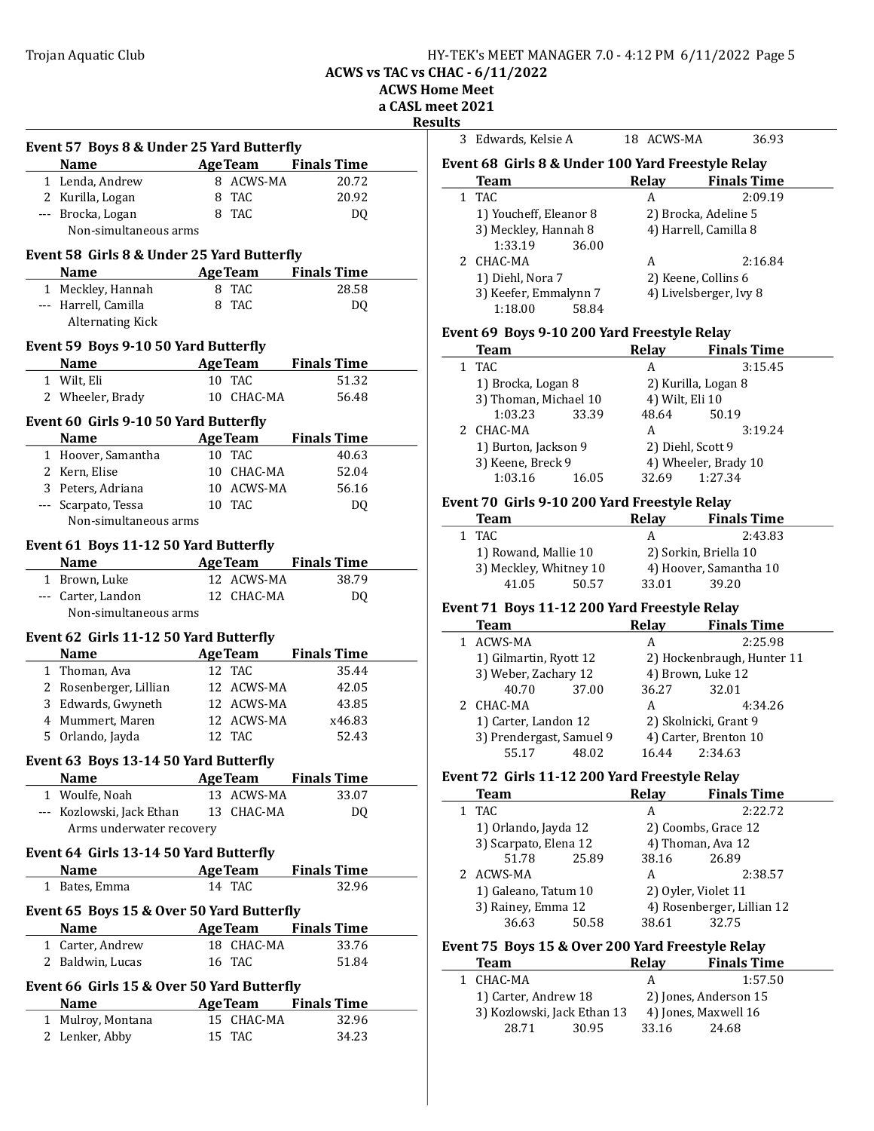ACWS vs TAC vs CHAC - 6/11/2022

ACWS Home Meet

a CASL meet 2021

**Results** 

÷

| Event 57 Boys 8 & Under 25 Yard Butterfly                                                                                                                                                                                     |        |                |                            |
|-------------------------------------------------------------------------------------------------------------------------------------------------------------------------------------------------------------------------------|--------|----------------|----------------------------|
| Name AgeTeam Finals Time                                                                                                                                                                                                      |        |                |                            |
| 1 Lenda, Andrew                                                                                                                                                                                                               |        | 8 ACWS-MA      | 20.72                      |
| 2 Kurilla, Logan                                                                                                                                                                                                              |        | 8 TAC          | 20.92                      |
| --- Brocka, Logan                                                                                                                                                                                                             |        | 8 TAC          | DQ                         |
| Non-simultaneous arms                                                                                                                                                                                                         |        |                |                            |
| Event 58 Girls 8 & Under 25 Yard Butterfly                                                                                                                                                                                    |        |                |                            |
| <b>Example 2 Age Team</b> Finals Time<br>Name                                                                                                                                                                                 |        |                |                            |
| 1 Meckley, Hannah                                                                                                                                                                                                             |        | 8 TAC          | 28.58                      |
| --- Harrell, Camilla                                                                                                                                                                                                          |        | 8 TAC          | DQ                         |
| <b>Alternating Kick</b>                                                                                                                                                                                                       |        |                |                            |
|                                                                                                                                                                                                                               |        |                |                            |
| Event 59 Boys 9-10 50 Yard Butterfly<br>Name AgeTeam Finals Time                                                                                                                                                              |        |                |                            |
| 1 Wilt, Eli                                                                                                                                                                                                                   |        | 10 TAC         | 51.32                      |
| 2 Wheeler, Brady                                                                                                                                                                                                              |        | 10 CHAC-MA     | 56.48                      |
|                                                                                                                                                                                                                               |        |                |                            |
| Event 60 Girls 9-10 50 Yard Butterfly                                                                                                                                                                                         |        |                |                            |
| <b>Example 2 Age Team</b> Finals Time<br><b>Name</b>                                                                                                                                                                          |        |                |                            |
| 1 Hoover, Samantha                                                                                                                                                                                                            |        | 10 TAC         | 40.63                      |
| 2 Kern, Elise                                                                                                                                                                                                                 |        | 10 CHAC-MA     | 52.04                      |
| 3 Peters, Adriana                                                                                                                                                                                                             |        | 10 ACWS-MA     | 56.16                      |
| --- Scarpato, Tessa<br>Non-simultaneous arms                                                                                                                                                                                  | 10 TAC |                | DQ                         |
|                                                                                                                                                                                                                               |        |                |                            |
| Event 61 Boys 11-12 50 Yard Butterfly                                                                                                                                                                                         |        |                |                            |
| Name AgeTeam Finals Time                                                                                                                                                                                                      |        |                |                            |
| 1 Brown, Luke 12 ACWS-MA<br>--- Carter, Landon 12 CHAC-MA                                                                                                                                                                     |        |                | 38.79                      |
|                                                                                                                                                                                                                               |        |                | DQ                         |
| Non-simultaneous arms                                                                                                                                                                                                         |        |                |                            |
| Event 62 Girls 11-12 50 Yard Butterfly                                                                                                                                                                                        |        |                |                            |
| Name and the same state of the state of the state of the state of the state of the state of the state of the state of the state of the state of the state of the state of the state of the state of the state of the state of |        |                | <b>AgeTeam</b> Finals Time |
| 1 Thoman, Ava                                                                                                                                                                                                                 |        | 12 TAC         | 35.44                      |
| 2 Rosenberger, Lillian 12 ACWS-MA                                                                                                                                                                                             |        |                | 42.05                      |
| 3 Edwards, Gwyneth 12 ACWS-MA                                                                                                                                                                                                 |        |                | 43.85                      |
| 4 Mummert, Maren 12 ACWS-MA x46.83                                                                                                                                                                                            |        |                |                            |
| 5 Orlando, Jayda                                                                                                                                                                                                              |        | 12 TAC         | 52.43                      |
| Event 63 Boys 13-14 50 Yard Butterfly                                                                                                                                                                                         |        |                |                            |
| Name                                                                                                                                                                                                                          |        |                | <b>AgeTeam</b> Finals Time |
| 1 Woulfe, Noah                                                                                                                                                                                                                |        | 13 ACWS-MA     | 33.07                      |
| --- Kozlowski, Jack Ethan                                                                                                                                                                                                     |        | 13 CHAC-MA     | DQ                         |
| Arms underwater recovery                                                                                                                                                                                                      |        |                |                            |
| Event 64 Girls 13-14 50 Yard Butterfly                                                                                                                                                                                        |        |                |                            |
| Name AgeTeam                                                                                                                                                                                                                  |        |                | <b>Finals Time</b>         |
| 1 Bates, Emma                                                                                                                                                                                                                 |        | 14 TAC         | 32.96                      |
|                                                                                                                                                                                                                               |        |                |                            |
| Event 65 Boys 15 & Over 50 Yard Butterfly                                                                                                                                                                                     |        |                |                            |
| <b>Name</b>                                                                                                                                                                                                                   |        |                | <b>AgeTeam</b> Finals Time |
| 1 Carter, Andrew                                                                                                                                                                                                              |        | 18 CHAC-MA     | 33.76                      |
| 2 Baldwin, Lucas                                                                                                                                                                                                              |        | 16 TAC         | 51.84                      |
| Event 66 Girls 15 & Over 50 Yard Butterfly                                                                                                                                                                                    |        |                |                            |
| <b>Name</b>                                                                                                                                                                                                                   |        | <b>AgeTeam</b> | <b>Finals Time</b>         |
| 1 Mulroy, Montana                                                                                                                                                                                                             |        | 15 CHAC-MA     | 32.96                      |
| 2 Lenker, Abby                                                                                                                                                                                                                | 15     | <b>TAC</b>     | 34.23                      |
|                                                                                                                                                                                                                               |        |                |                            |

| uts<br>3     |                                                    |                     |                            |
|--------------|----------------------------------------------------|---------------------|----------------------------|
|              | Edwards, Kelsie A                                  | 18 ACWS-MA          | 36.93                      |
|              | Event 68  Girls 8 & Under 100 Yard Freestyle Relay |                     |                            |
|              |                                                    |                     | Relay Finals Time          |
|              | Team                                               |                     |                            |
| 1            | TAC                                                | A                   | 2:09.19                    |
|              | 1) Youcheff, Eleanor 8                             |                     | 2) Brocka, Adeline 5       |
|              | 3) Meckley, Hannah 8                               |                     | 4) Harrell, Camilla 8      |
|              |                                                    |                     |                            |
|              | 1:33.19<br>36.00                                   |                     |                            |
| 2            | CHAC-MA                                            | A                   | 2:16.84                    |
|              | 1) Diehl, Nora 7                                   | 2) Keene, Collins 6 |                            |
|              |                                                    |                     |                            |
|              | 3) Keefer, Emmalynn 7                              |                     | 4) Livelsberger, Ivy 8     |
|              | 1:18.00<br>58.84                                   |                     |                            |
|              |                                                    |                     |                            |
|              | <b>Event 69 Boys 9-10 200 Yard Freestyle Relay</b> |                     |                            |
|              | <b>Team</b>                                        | Relay               | <b>Finals Time</b>         |
|              |                                                    |                     | 3:15.45                    |
| $\mathbf{1}$ | <b>TAC</b>                                         | A                   |                            |
|              | 1) Brocka, Logan 8                                 | 2) Kurilla, Logan 8 |                            |
|              | 3) Thoman, Michael 10                              | 4) Wilt, Eli 10     |                            |
|              | 1:03.23<br>33.39                                   | 48.64               | 50.19                      |
|              |                                                    |                     |                            |
| 2            | CHAC-MA                                            | A                   | 3:19.24                    |
|              | 1) Burton, Jackson 9                               | 2) Diehl, Scott 9   |                            |
|              | 3) Keene, Breck 9                                  |                     | 4) Wheeler, Brady 10       |
|              | 1:03.16<br>16.05                                   | 32.69               | 1:27.34                    |
|              |                                                    |                     |                            |
|              | Event 70  Girls 9-10 200 Yard Freestyle Relay      |                     |                            |
|              |                                                    |                     |                            |
|              | Team                                               |                     | Relay Finals Time          |
| $\mathbf{1}$ | TAC                                                | A                   | 2:43.83                    |
|              | 1) Rowand, Mallie 10                               |                     | 2) Sorkin, Briella 10      |
|              | 3) Meckley, Whitney 10                             |                     | 4) Hoover, Samantha 10     |
|              |                                                    |                     |                            |
|              | 41.05<br>50.57                                     | 33.01               | 39.20                      |
|              | Event 71 Boys 11-12 200 Yard Freestyle Relay       |                     |                            |
|              | <b>Team</b>                                        | Relay               | <b>Finals Time</b>         |
|              |                                                    |                     |                            |
| 1            | ACWS-MA                                            | A                   | 2:25.98                    |
|              |                                                    |                     |                            |
|              | 1) Gilmartin, Ryott 12                             |                     |                            |
|              |                                                    |                     | 2) Hockenbraugh, Hunter 11 |
|              | 3) Weber, Zachary 12                               | 4) Brown, Luke 12   |                            |
|              | 40.70<br>37.00                                     | 36.27               | 32.01                      |
| 2            | CHAC-MA                                            | A                   | 4:34.26                    |
|              |                                                    |                     |                            |
|              | 1) Carter, Landon 12                               |                     | 2) Skolnicki, Grant 9      |
|              | 3) Prendergast, Samuel 9                           |                     | 4) Carter, Brenton 10      |
|              | 55.17<br>48.02                                     | 16.44               | 2:34.63                    |
|              |                                                    |                     |                            |
|              | Event 72  Girls 11-12 200 Yard Freestyle Relay     |                     |                            |
|              | <b>Team</b>                                        | <b>Relay</b>        | <b>Finals Time</b>         |
| 1            | <b>TAC</b>                                         | A                   | 2:22.72                    |
|              |                                                    |                     |                            |
|              | 1) Orlando, Jayda 12                               |                     | 2) Coombs, Grace 12        |
|              | 3) Scarpato, Elena 12                              |                     | 4) Thoman, Ava 12          |
|              | 51.78<br>25.89                                     | 38.16               | 26.89                      |
| 2            | ACWS-MA                                            | A                   | 2:38.57                    |
|              |                                                    |                     |                            |
|              | 1) Galeano, Tatum 10                               | 2) Oyler, Violet 11 |                            |
|              | 3) Rainey, Emma 12                                 |                     | 4) Rosenberger, Lillian 12 |
|              | 36.63<br>50.58                                     | 38.61               | 32.75                      |
|              |                                                    |                     |                            |
|              | Event 75 Boys 15 & Over 200 Yard Freestyle Relay   |                     |                            |
|              | <b>Team</b>                                        | Relay               | <b>Finals Time</b>         |
| 1            | CHAC-MA                                            | A                   | 1:57.50                    |
|              |                                                    |                     |                            |
|              | 1) Carter, Andrew 18                               |                     | 2) Jones, Anderson 15      |
|              | 3) Kozlowski, Jack Ethan 13                        |                     | 4) Jones, Maxwell 16       |
|              | 28.71<br>30.95                                     | 33.16               | 24.68                      |